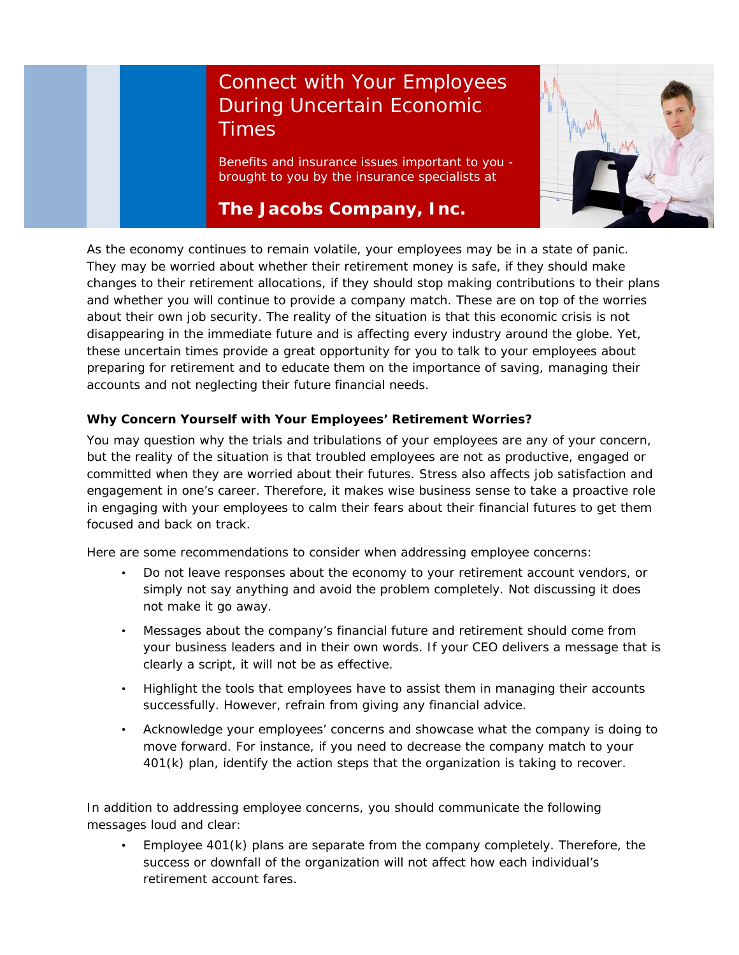## Connect with Your Employees During Uncertain Economic **Times**

Benefits and insurance issues important to you brought to you by the insurance specialists at

## **The Jacobs Company, Inc.**



As the economy continues to remain volatile, your employees may be in a state of panic. They may be worried about whether their retirement money is safe, if they should make changes to their retirement allocations, if they should stop making contributions to their plans and whether you will continue to provide a company match. These are on top of the worries about their own job security. The reality of the situation is that this economic crisis is not disappearing in the immediate future and is affecting every industry around the globe. Yet, these uncertain times provide a great opportunity for you to talk to your employees about preparing for retirement and to educate them on the importance of saving, managing their accounts and not neglecting their future financial needs.

## **Why Concern Yourself with Your Employees' Retirement Worries?**

You may question why the trials and tribulations of your employees are any of your concern, but the reality of the situation is that troubled employees are not as productive, engaged or committed when they are worried about their futures. Stress also affects job satisfaction and engagement in one's career. Therefore, it makes wise business sense to take a proactive role in engaging with your employees to calm their fears about their financial futures to get them focused and back on track.

Here are some recommendations to consider when addressing employee concerns:

- Do not leave responses about the economy to your retirement account vendors, or simply not say anything and avoid the problem completely. Not discussing it does not make it go away.
- Messages about the company's financial future and retirement should come from your business leaders and in their own words. If your CEO delivers a message that is clearly a script, it will not be as effective.
- Highlight the tools that employees have to assist them in managing their accounts successfully. However, refrain from giving any financial advice.
- Acknowledge your employees' concerns and showcase what the company is doing to move forward. For instance, if you need to decrease the company match to your 401(k) plan, identify the action steps that the organization is taking to recover.

In addition to addressing employee concerns, you should communicate the following messages loud and clear:

• Employee 401(k) plans are separate from the company completely. Therefore, the success or downfall of the organization will not affect how each individual's retirement account fares.